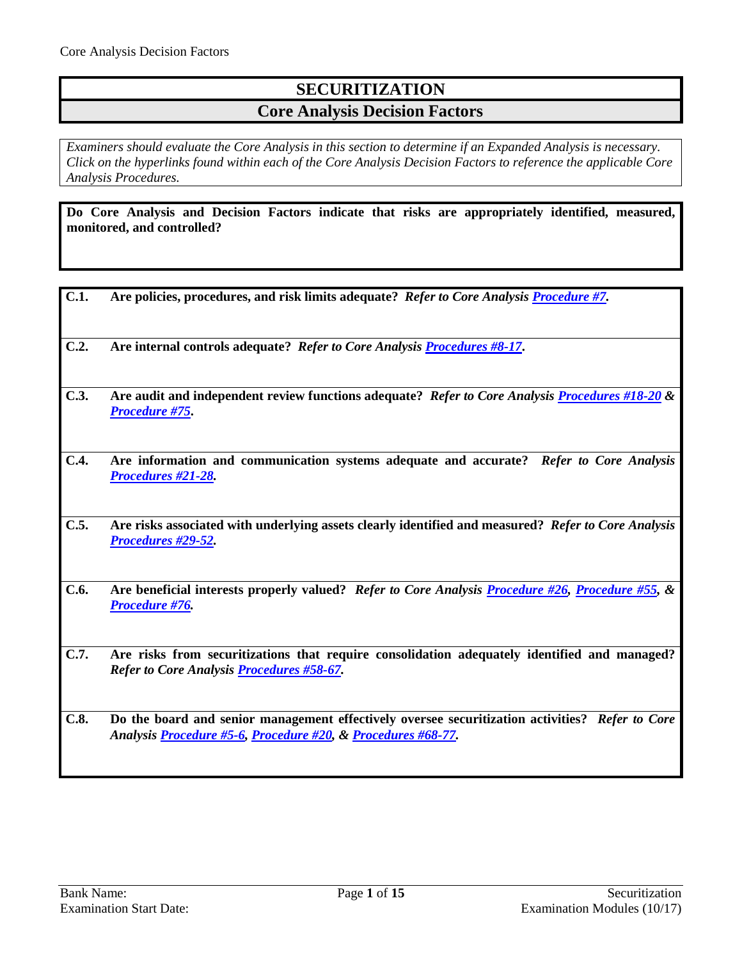## **SECURITIZATION Core Analysis Decision Factors**

*Examiners should evaluate the Core Analysis in this section to determine if an Expanded Analysis is necessary. Click on the hyperlinks found within each of the Core Analysis Decision Factors to reference the applicable Core Analysis Procedures.*

**Do Core Analysis and Decision Factors indicate that risks are appropriately identified, measured, monitored, and controlled?** 

- **C.1. Are policies, procedures, and risk limits adequate?** *Refer to Core Analysis [Procedure #7.](#page-2-0)*
- **C.2. Are internal controls adequate?** *Refer to Core Analysis [Procedures #8-17](#page-3-0)***.**
- **C.3. Are audit and independent review functions adequate?** *Refer to Core Analysis [Procedures #18-20](#page-4-0) & [Procedure #75](#page-13-0)***.**
- **C.4. Are information and communication systems adequate and accurate?** *Refer to Core Analysis [Procedures #21-28.](#page-5-0)*
- **C.5. Are risks associated with underlying assets clearly identified and measured?** *Refer to Core Analysis [Procedures #29-52.](#page-7-0)*
- **C.6. Are beneficial interests properly valued?** *Refer to Core Analysis [Procedure #26,](#page-6-0) [Procedure #55,](#page-10-0) & [Procedure #76.](#page-13-1)*
- **C.7. Are risks from securitizations that require consolidation adequately identified and managed?**  *Refer to Core Analysis [Procedures #58-67.](#page-11-0)*
- **C.8. Do the board and senior management effectively oversee securitization activities?** *Refer to Core Analysis [Procedure #5-6,](#page-2-1) [Procedure #20,](#page-5-1) [& Procedures #68-77.](#page-12-0)*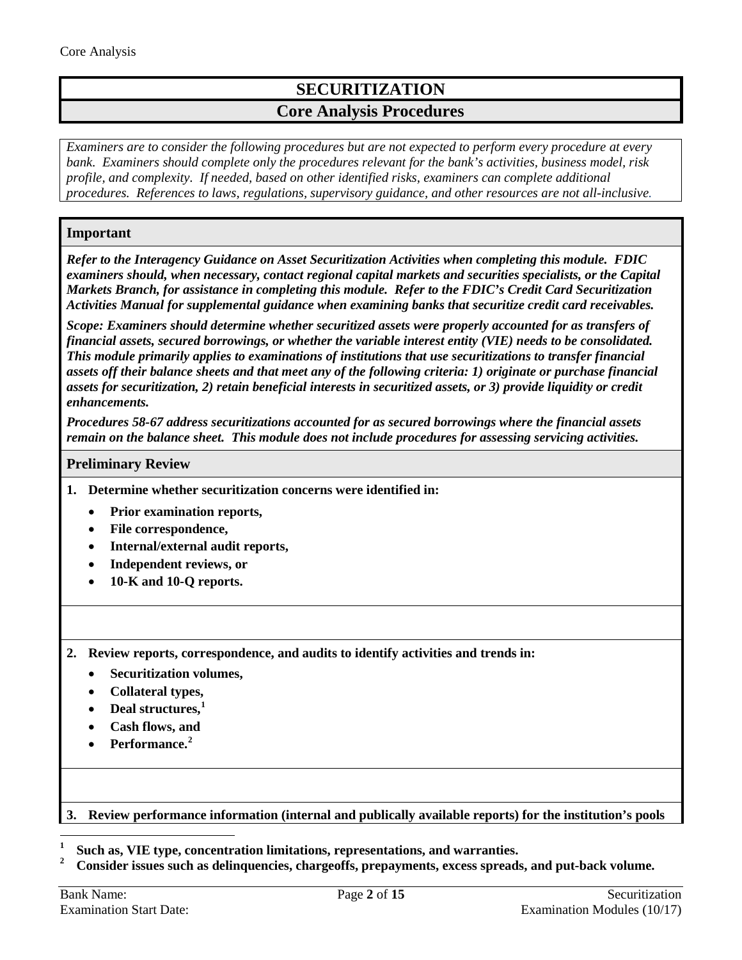# **SECURITIZATION Core Analysis Procedures**

*Examiners are to consider the following procedures but are not expected to perform every procedure at every bank. Examiners should complete only the procedures relevant for the bank's activities, business model, risk profile, and complexity. If needed, based on other identified risks, examiners can complete additional procedures. References to laws, regulations, supervisory guidance, and other resources are not all-inclusive.*

## **Important**

*Refer to the Interagency Guidance on Asset Securitization Activities when completing this module. FDIC examiners should, when necessary, contact regional capital markets and securities specialists, or the Capital Markets Branch, for assistance in completing this module. Refer to the FDIC's Credit Card Securitization Activities Manual for supplemental guidance when examining banks that securitize credit card receivables.*

*Scope: Examiners should determine whether securitized assets were properly accounted for as transfers of financial assets, secured borrowings, or whether the variable interest entity (VIE) needs to be consolidated. This module primarily applies to examinations of institutions that use securitizations to transfer financial assets off their balance sheets and that meet any of the following criteria: 1) originate or purchase financial assets for securitization, 2) retain beneficial interests in securitized assets, or 3) provide liquidity or credit enhancements.* 

*Procedures 58-67 address securitizations accounted for as secured borrowings where the financial assets remain on the balance sheet. This module does not include procedures for assessing servicing activities.*

#### **Preliminary Review**

- **1. Determine whether securitization concerns were identified in:**
	- **Prior examination reports,**
	- **File correspondence,**
	- **Internal/external audit reports,**
	- **Independent reviews, or**
	- **10-K and 10-Q reports.**
- **2. Review reports, correspondence, and audits to identify activities and trends in:**
	- **Securitization volumes,**
	- **Collateral types,**
	- **Deal structures,[1](#page-1-0)**
	- **Cash flows, and**
	- **Performance.[2](#page-1-1)**

#### **3. Review performance information (internal and publically available reports) for the institution's pools**

<span id="page-1-0"></span>**<sup>1</sup> Such as, VIE type, concentration limitations, representations, and warranties.**

<span id="page-1-1"></span>**<sup>2</sup> Consider issues such as delinquencies, chargeoffs, prepayments, excess spreads, and put-back volume.**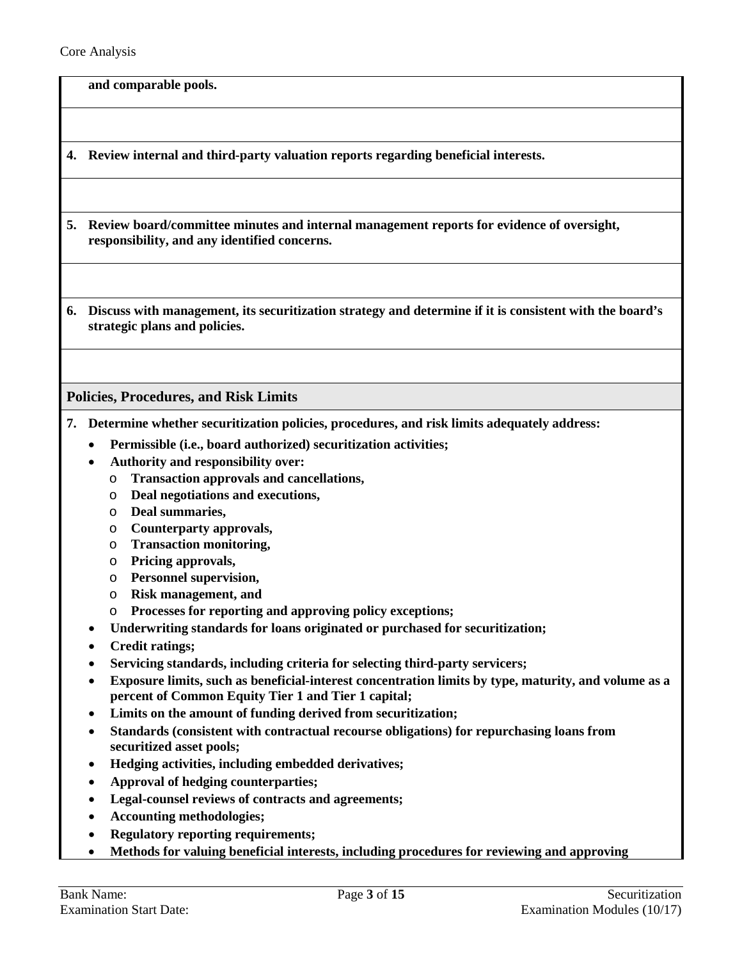**and comparable pools.** 

**4. Review internal and third-party valuation reports regarding beneficial interests.**

- <span id="page-2-1"></span>**5. Review board/committee minutes and internal management reports for evidence of oversight, responsibility, and any identified concerns.**
- **6. Discuss with management, its securitization strategy and determine if it is consistent with the board's strategic plans and policies.**

<span id="page-2-0"></span>**Policies, Procedures, and Risk Limits**

- **7. Determine whether securitization policies, procedures, and risk limits adequately address:**
	- **Permissible (i.e., board authorized) securitization activities;**
	- **Authority and responsibility over:**
		- o **Transaction approvals and cancellations,**
		- o **Deal negotiations and executions,**
		- o **Deal summaries,**
		- o **Counterparty approvals,**
		- o **Transaction monitoring,**
		- o **Pricing approvals,**
		- o **Personnel supervision,**
		- o **Risk management, and**
		- o **Processes for reporting and approving policy exceptions;**
	- **Underwriting standards for loans originated or purchased for securitization;**
	- **Credit ratings;**
	- **Servicing standards, including criteria for selecting third-party servicers;**
	- **Exposure limits, such as beneficial-interest concentration limits by type, maturity, and volume as a percent of Common Equity Tier 1 and Tier 1 capital;**
	- **Limits on the amount of funding derived from securitization;**
	- **Standards (consistent with contractual recourse obligations) for repurchasing loans from securitized asset pools;**
	- **Hedging activities, including embedded derivatives;**
	- **Approval of hedging counterparties;**
	- **Legal-counsel reviews of contracts and agreements;**
	- **Accounting methodologies;**
	- **Regulatory reporting requirements;**
	- **Methods for valuing beneficial interests, including procedures for reviewing and approving**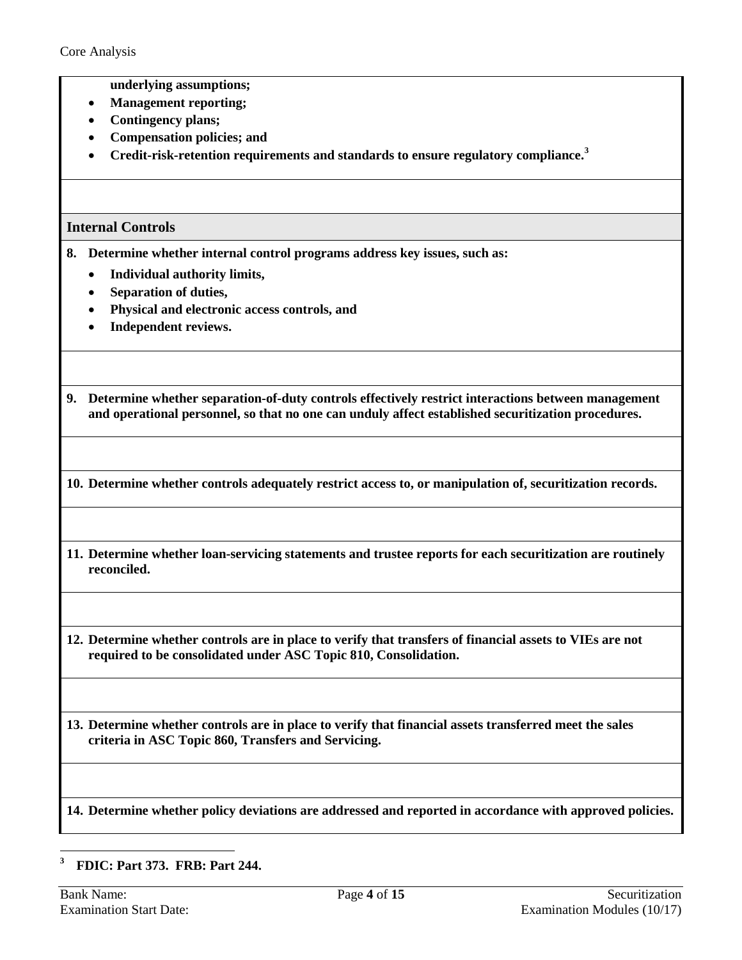- **underlying assumptions;**
- **Management reporting;**
- **Contingency plans;**
- **Compensation policies; and**
- **Credit-risk-retention requirements and standards to ensure regulatory compliance.[3](#page-3-1)**

## <span id="page-3-0"></span>**Internal Controls**

- **8. Determine whether internal control programs address key issues, such as:** 
	- **Individual authority limits,**
	- **Separation of duties,**
	- **Physical and electronic access controls, and**
	- **Independent reviews.**

**9. Determine whether separation-of-duty controls effectively restrict interactions between management and operational personnel, so that no one can unduly affect established securitization procedures.**

**10. Determine whether controls adequately restrict access to, or manipulation of, securitization records.**

- **11. Determine whether loan-servicing statements and trustee reports for each securitization are routinely reconciled.**
- **12. Determine whether controls are in place to verify that transfers of financial assets to VIEs are not required to be consolidated under ASC Topic 810, Consolidation.**
- **13. Determine whether controls are in place to verify that financial assets transferred meet the sales criteria in ASC Topic 860, Transfers and Servicing.**

**14. Determine whether policy deviations are addressed and reported in accordance with approved policies.** 

<span id="page-3-1"></span> $\mathbf{3}$ **<sup>3</sup> FDIC: Part 373. FRB: Part 244.**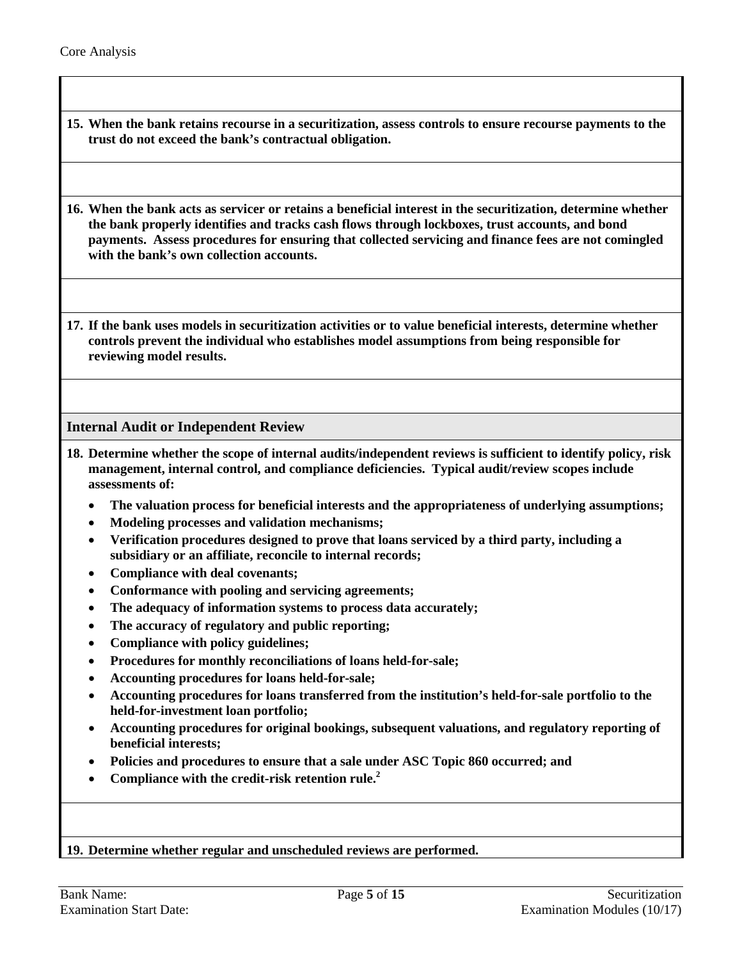- **15. When the bank retains recourse in a securitization, assess controls to ensure recourse payments to the trust do not exceed the bank's contractual obligation.**
- **16. When the bank acts as servicer or retains a beneficial interest in the securitization, determine whether the bank properly identifies and tracks cash flows through lockboxes, trust accounts, and bond payments. Assess procedures for ensuring that collected servicing and finance fees are not comingled with the bank's own collection accounts.**

**17. If the bank uses models in securitization activities or to value beneficial interests, determine whether controls prevent the individual who establishes model assumptions from being responsible for reviewing model results.**

<span id="page-4-0"></span>**Internal Audit or Independent Review**

- **18. Determine whether the scope of internal audits/independent reviews is sufficient to identify policy, risk management, internal control, and compliance deficiencies. Typical audit/review scopes include assessments of:**
	- **The valuation process for beneficial interests and the appropriateness of underlying assumptions;**
	- **Modeling processes and validation mechanisms;**
	- **Verification procedures designed to prove that loans serviced by a third party, including a subsidiary or an affiliate, reconcile to internal records;**
	- **Compliance with deal covenants;**
	- **Conformance with pooling and servicing agreements;**
	- **The adequacy of information systems to process data accurately;**
	- **The accuracy of regulatory and public reporting;**
	- **Compliance with policy guidelines;**
	- **Procedures for monthly reconciliations of loans held-for-sale;**
	- **Accounting procedures for loans held-for-sale;**
	- **Accounting procedures for loans transferred from the institution's held-for-sale portfolio to the held-for-investment loan portfolio;**
	- **Accounting procedures for original bookings, subsequent valuations, and regulatory reporting of beneficial interests;**
	- **Policies and procedures to ensure that a sale under ASC Topic 860 occurred; and**
	- **Compliance with the credit-risk retention rule.2**

#### **19. Determine whether regular and unscheduled reviews are performed.**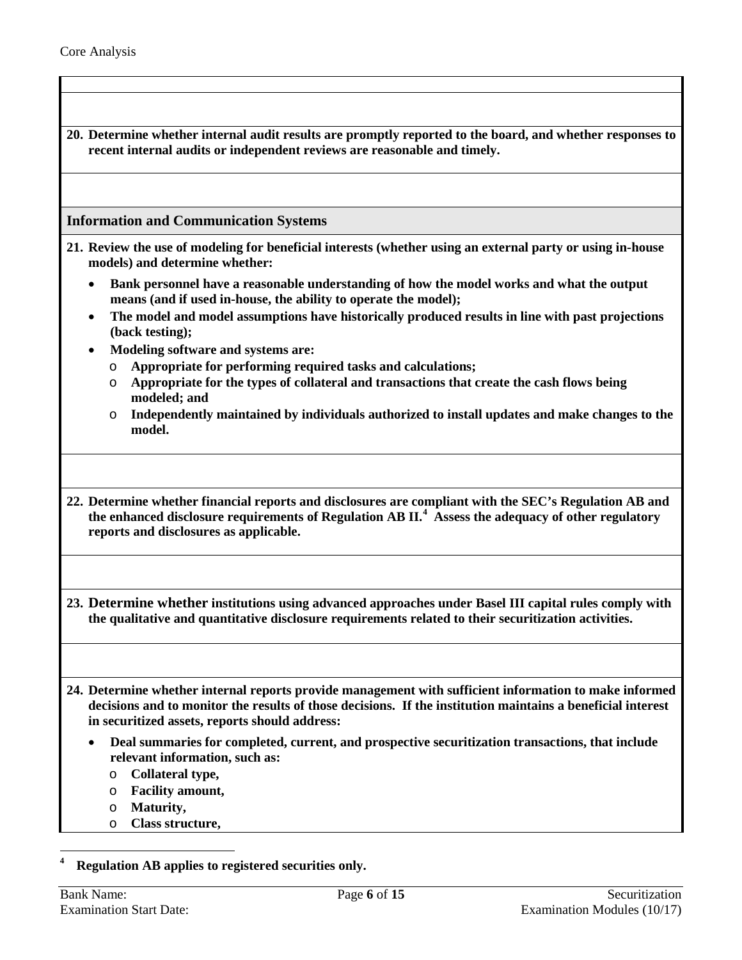<span id="page-5-2"></span><span id="page-5-1"></span><span id="page-5-0"></span>**20. Determine whether internal audit results are promptly reported to the board, and whether responses to recent internal audits or independent reviews are reasonable and timely. Information and Communication Systems 21. Review the use of modeling for beneficial interests (whether using an external party or using in-house models) and determine whether:** • **Bank personnel have a reasonable understanding of how the model works and what the output means (and if used in-house, the ability to operate the model);** • **The model and model assumptions have historically produced results in line with past projections (back testing);** • **Modeling software and systems are:** o **Appropriate for performing required tasks and calculations;**  o **Appropriate for the types of collateral and transactions that create the cash flows being modeled; and** o **Independently maintained by individuals authorized to install updates and make changes to the model. 22. Determine whether financial reports and disclosures are compliant with the SEC's Regulation AB and the enhanced disclosure requirements of Regulation AB II. [4](#page-5-2) Assess the adequacy of other regulatory reports and disclosures as applicable. 23. Determine whether institutions using advanced approaches under Basel III capital rules comply with the qualitative and quantitative disclosure requirements related to their securitization activities. 24. Determine whether internal reports provide management with sufficient information to make informed decisions and to monitor the results of those decisions. If the institution maintains a beneficial interest in securitized assets, reports should address:** • **Deal summaries for completed, current, and prospective securitization transactions, that include relevant information, such as:** o **Collateral type,**  o **Facility amount,**  o **Maturity,**  o **Class structure,**   $\overline{a}$ **<sup>4</sup> Regulation AB applies to registered securities only.**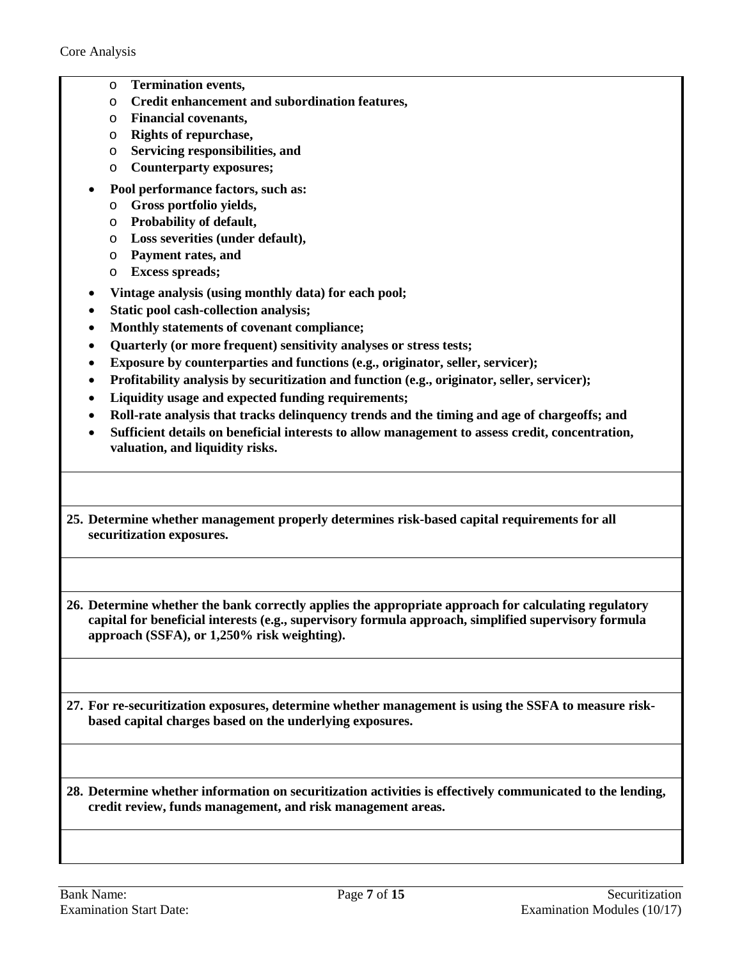- o **Termination events,**
- o **Credit enhancement and subordination features,**
- o **Financial covenants,**
- o **Rights of repurchase,**
- o **Servicing responsibilities, and**
- o **Counterparty exposures;**
- **Pool performance factors, such as:**
	- o **Gross portfolio yields,**
	- o **Probability of default,**
	- o **Loss severities (under default),**
	- o **Payment rates, and**
	- o **Excess spreads;**
- **Vintage analysis (using monthly data) for each pool;**
- **Static pool cash-collection analysis;**
- **Monthly statements of covenant compliance;**
- **Quarterly (or more frequent) sensitivity analyses or stress tests;**
- **Exposure by counterparties and functions (e.g., originator, seller, servicer);**
- **Profitability analysis by securitization and function (e.g., originator, seller, servicer);**
- **Liquidity usage and expected funding requirements;**
- **Roll-rate analysis that tracks delinquency trends and the timing and age of chargeoffs; and**
- **Sufficient details on beneficial interests to allow management to assess credit, concentration, valuation, and liquidity risks.**
- **25. Determine whether management properly determines risk-based capital requirements for all securitization exposures.**

<span id="page-6-0"></span>**26. Determine whether the bank correctly applies the appropriate approach for calculating regulatory capital for beneficial interests (e.g., supervisory formula approach, simplified supervisory formula approach (SSFA), or 1,250% risk weighting).**

**27. For re-securitization exposures, determine whether management is using the SSFA to measure riskbased capital charges based on the underlying exposures.**

**28. Determine whether information on securitization activities is effectively communicated to the lending, credit review, funds management, and risk management areas.**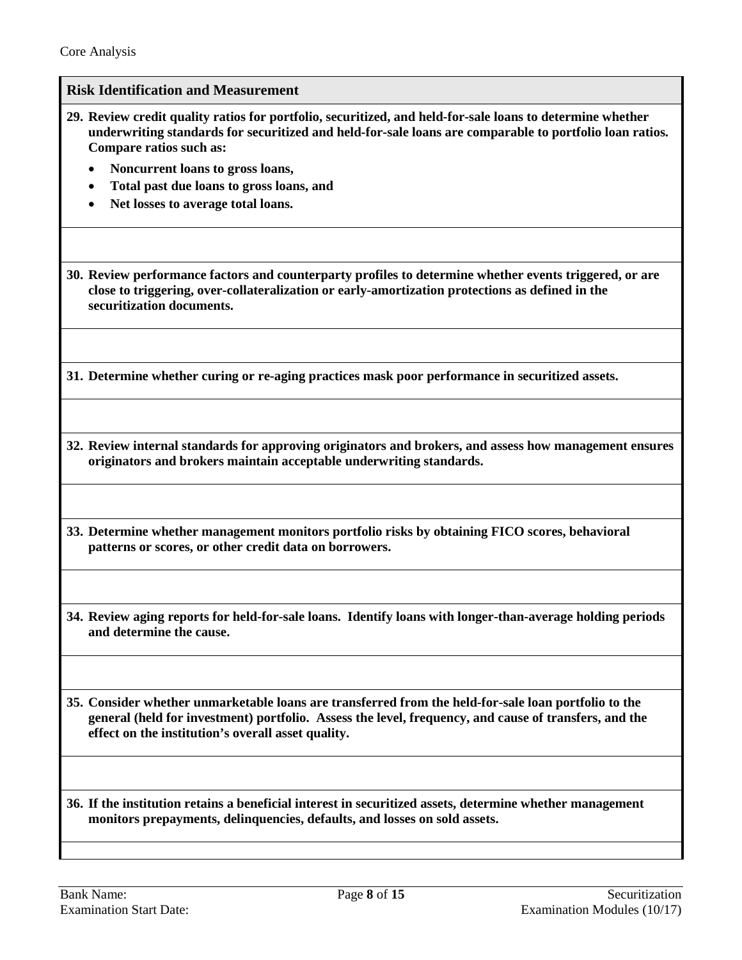#### **Risk Identification and Measurement**

- <span id="page-7-0"></span>**29. Review credit quality ratios for portfolio, securitized, and held-for-sale loans to determine whether underwriting standards for securitized and held-for-sale loans are comparable to portfolio loan ratios. Compare ratios such as:**
	- **Noncurrent loans to gross loans,**
	- **Total past due loans to gross loans, and**
	- **Net losses to average total loans.**

**30. Review performance factors and counterparty profiles to determine whether events triggered, or are close to triggering, over-collateralization or early-amortization protections as defined in the securitization documents.**

**31. Determine whether curing or re-aging practices mask poor performance in securitized assets.**

**32. Review internal standards for approving originators and brokers, and assess how management ensures originators and brokers maintain acceptable underwriting standards.**

**33. Determine whether management monitors portfolio risks by obtaining FICO scores, behavioral patterns or scores, or other credit data on borrowers.**

**34. Review aging reports for held-for-sale loans. Identify loans with longer-than-average holding periods and determine the cause.**

**35. Consider whether unmarketable loans are transferred from the held-for-sale loan portfolio to the general (held for investment) portfolio. Assess the level, frequency, and cause of transfers, and the effect on the institution's overall asset quality.**

**36. If the institution retains a beneficial interest in securitized assets, determine whether management monitors prepayments, delinquencies, defaults, and losses on sold assets.**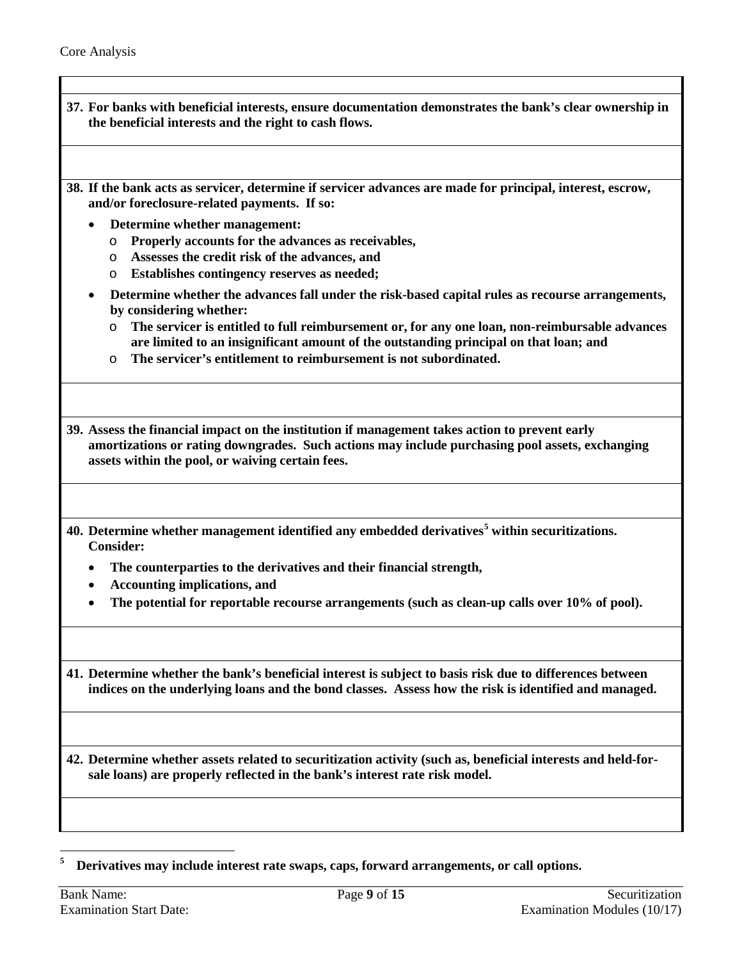**37. For banks with beneficial interests, ensure documentation demonstrates the bank's clear ownership in the beneficial interests and the right to cash flows.**

**38. If the bank acts as servicer, determine if servicer advances are made for principal, interest, escrow, and/or foreclosure-related payments. If so:**

- **Determine whether management:**
	- o **Properly accounts for the advances as receivables,**
	- o **Assesses the credit risk of the advances, and**
	- o **Establishes contingency reserves as needed;**
- **Determine whether the advances fall under the risk-based capital rules as recourse arrangements, by considering whether:**
	- o **The servicer is entitled to full reimbursement or, for any one loan, non-reimbursable advances are limited to an insignificant amount of the outstanding principal on that loan; and**
	- o **The servicer's entitlement to reimbursement is not subordinated.**

**39. Assess the financial impact on the institution if management takes action to prevent early amortizations or rating downgrades. Such actions may include purchasing pool assets, exchanging assets within the pool, or waiving certain fees.**

- **40. Determine whether management identified any embedded derivatives[5](#page-8-0) within securitizations. Consider:**
	- **The counterparties to the derivatives and their financial strength,**
	- **Accounting implications, and**
	- **The potential for reportable recourse arrangements (such as clean-up calls over 10% of pool).**

**41. Determine whether the bank's beneficial interest is subject to basis risk due to differences between indices on the underlying loans and the bond classes. Assess how the risk is identified and managed.**

**42. Determine whether assets related to securitization activity (such as, beneficial interests and held-forsale loans) are properly reflected in the bank's interest rate risk model.**

<span id="page-8-0"></span>5 **<sup>5</sup> Derivatives may include interest rate swaps, caps, forward arrangements, or call options.**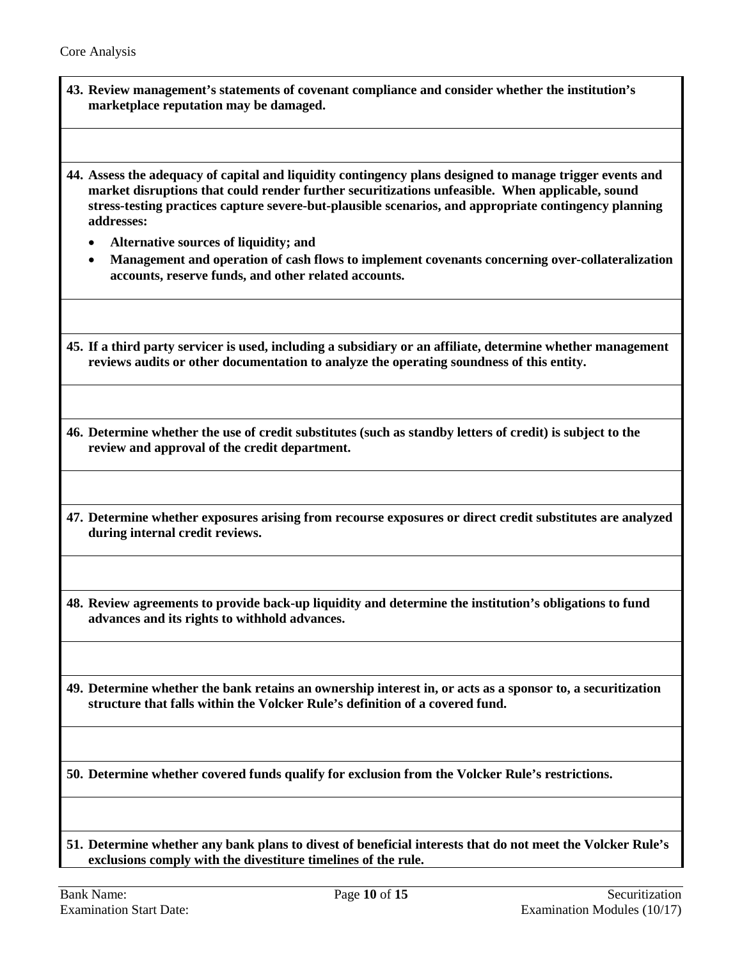**43. Review management's statements of covenant compliance and consider whether the institution's marketplace reputation may be damaged.**

**44. Assess the adequacy of capital and liquidity contingency plans designed to manage trigger events and market disruptions that could render further securitizations unfeasible. When applicable, sound stress-testing practices capture severe-but-plausible scenarios, and appropriate contingency planning addresses:**

- **Alternative sources of liquidity; and**
- **Management and operation of cash flows to implement covenants concerning over-collateralization accounts, reserve funds, and other related accounts.**

**45. If a third party servicer is used, including a subsidiary or an affiliate, determine whether management reviews audits or other documentation to analyze the operating soundness of this entity.**

**46. Determine whether the use of credit substitutes (such as standby letters of credit) is subject to the review and approval of the credit department.**

**47. Determine whether exposures arising from recourse exposures or direct credit substitutes are analyzed during internal credit reviews.**

**48. Review agreements to provide back-up liquidity and determine the institution's obligations to fund advances and its rights to withhold advances.**

**49. Determine whether the bank retains an ownership interest in, or acts as a sponsor to, a securitization structure that falls within the Volcker Rule's definition of a covered fund.**

**50. Determine whether covered funds qualify for exclusion from the Volcker Rule's restrictions.**

**51. Determine whether any bank plans to divest of beneficial interests that do not meet the Volcker Rule's exclusions comply with the divestiture timelines of the rule.**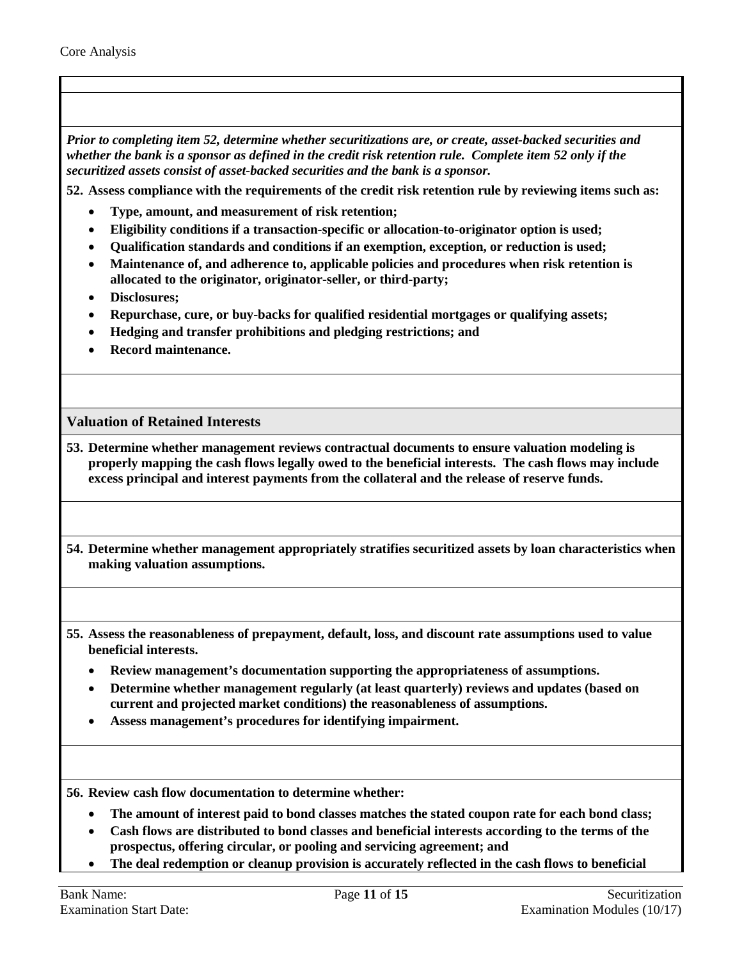*Prior to completing item 52, determine whether securitizations are, or create, asset-backed securities and whether the bank is a sponsor as defined in the credit risk retention rule. Complete item 52 only if the securitized assets consist of asset-backed securities and the bank is a sponsor.*

**52. Assess compliance with the requirements of the credit risk retention rule by reviewing items such as:**

- **Type, amount, and measurement of risk retention;**
- **Eligibility conditions if a transaction-specific or allocation-to-originator option is used;**
- **Qualification standards and conditions if an exemption, exception, or reduction is used;**
- **Maintenance of, and adherence to, applicable policies and procedures when risk retention is allocated to the originator, originator-seller, or third-party;**
- **Disclosures;**
- **Repurchase, cure, or buy-backs for qualified residential mortgages or qualifying assets;**
- **Hedging and transfer prohibitions and pledging restrictions; and**
- **Record maintenance.**

#### **Valuation of Retained Interests**

- **53. Determine whether management reviews contractual documents to ensure valuation modeling is properly mapping the cash flows legally owed to the beneficial interests. The cash flows may include excess principal and interest payments from the collateral and the release of reserve funds.**
- **54. Determine whether management appropriately stratifies securitized assets by loan characteristics when making valuation assumptions.**
- <span id="page-10-0"></span>**55. Assess the reasonableness of prepayment, default, loss, and discount rate assumptions used to value beneficial interests.** 
	- **Review management's documentation supporting the appropriateness of assumptions.**
	- **Determine whether management regularly (at least quarterly) reviews and updates (based on current and projected market conditions) the reasonableness of assumptions.**
	- **Assess management's procedures for identifying impairment.**

**56. Review cash flow documentation to determine whether:**

- **The amount of interest paid to bond classes matches the stated coupon rate for each bond class;**
- **Cash flows are distributed to bond classes and beneficial interests according to the terms of the prospectus, offering circular, or pooling and servicing agreement; and**
- **The deal redemption or cleanup provision is accurately reflected in the cash flows to beneficial**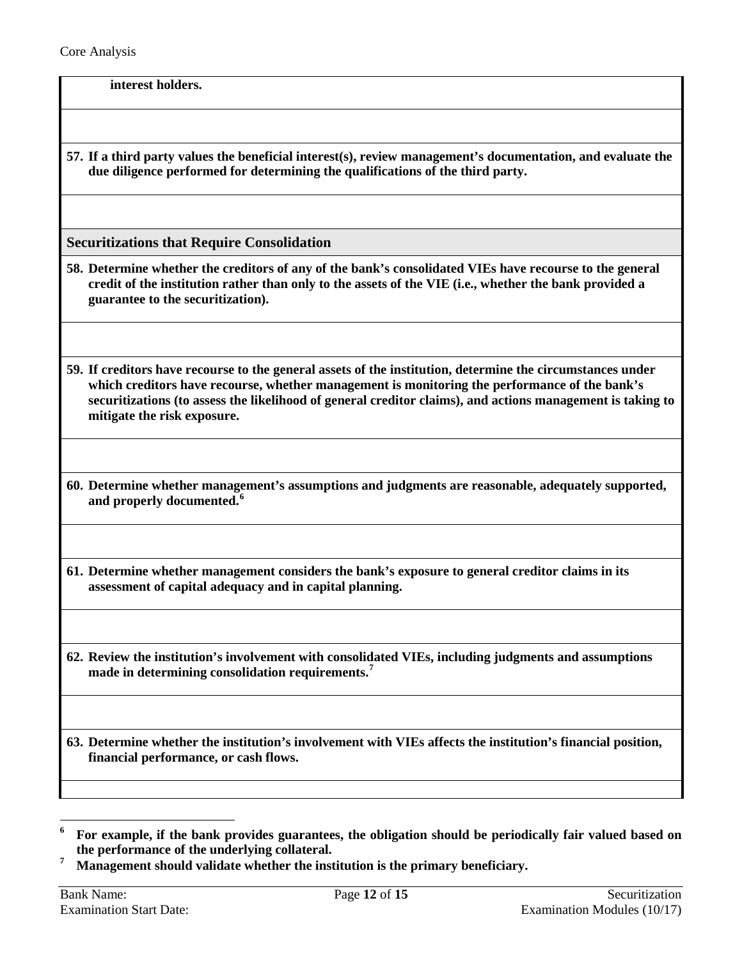**interest holders.**

**57. If a third party values the beneficial interest(s), review management's documentation, and evaluate the due diligence performed for determining the qualifications of the third party.**

**Securitizations that Require Consolidation**

- <span id="page-11-0"></span>**58. Determine whether the creditors of any of the bank's consolidated VIEs have recourse to the general credit of the institution rather than only to the assets of the VIE (i.e., whether the bank provided a guarantee to the securitization).**
- **59. If creditors have recourse to the general assets of the institution, determine the circumstances under which creditors have recourse, whether management is monitoring the performance of the bank's securitizations (to assess the likelihood of general creditor claims), and actions management is taking to mitigate the risk exposure.**
- **60. Determine whether management's assumptions and judgments are reasonable, adequately supported, and properly documented.[6](#page-11-1)**
- **61. Determine whether management considers the bank's exposure to general creditor claims in its assessment of capital adequacy and in capital planning.**
- **62. Review the institution's involvement with consolidated VIEs, including judgments and assumptions made in determining consolidation requirements. [7](#page-11-2)**

**63. Determine whether the institution's involvement with VIEs affects the institution's financial position, financial performance, or cash flows.**

 $\overline{a}$ 

<span id="page-11-1"></span>**<sup>6</sup> For example, if the bank provides guarantees, the obligation should be periodically fair valued based on the performance of the underlying collateral.**

<span id="page-11-2"></span>**<sup>7</sup> Management should validate whether the institution is the primary beneficiary.**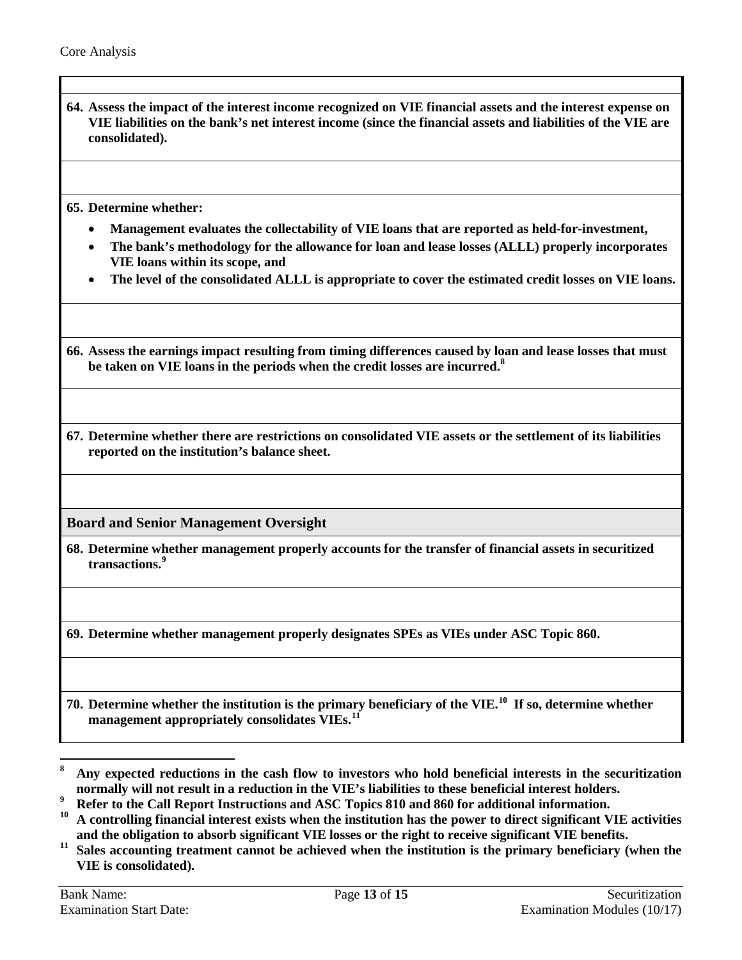**64. Assess the impact of the interest income recognized on VIE financial assets and the interest expense on VIE liabilities on the bank's net interest income (since the financial assets and liabilities of the VIE are consolidated).**

**65. Determine whether:** 

- **Management evaluates the collectability of VIE loans that are reported as held-for-investment,**
- **The bank's methodology for the allowance for loan and lease losses (ALLL) properly incorporates VIE loans within its scope, and**
- **The level of the consolidated ALLL is appropriate to cover the estimated credit losses on VIE loans.**

**66. Assess the earnings impact resulting from timing differences caused by loan and lease losses that must be taken on VIE loans in the periods when the credit losses are incurred.[8](#page-12-1)** 

**67. Determine whether there are restrictions on consolidated VIE assets or the settlement of its liabilities reported on the institution's balance sheet.**

**Board and Senior Management Oversight**

<span id="page-12-0"></span>**68. Determine whether management properly accounts for the transfer of financial assets in securitized transactions. [9](#page-12-2)**

**69. Determine whether management properly designates SPEs as VIEs under ASC Topic 860.**

**70. Determine whether the institution is the primary beneficiary of the VIE.[10](#page-12-3) If so, determine whether management appropriately consolidates VIEs.[11](#page-12-4)**

<span id="page-12-1"></span>**<sup>8</sup> Any expected reductions in the cash flow to investors who hold beneficial interests in the securitization normally will not result in a reduction in the VIE's liabilities to these beneficial interest holders.**

<span id="page-12-2"></span>**<sup>9</sup> Refer to the Call Report Instructions and ASC Topics 810 and 860 for additional information.** 

<span id="page-12-3"></span>**<sup>10</sup> A controlling financial interest exists when the institution has the power to direct significant VIE activities and the obligation to absorb significant VIE losses or the right to receive significant VIE benefits.**

<span id="page-12-4"></span><sup>&</sup>lt;sup>11</sup> Sales accounting treatment cannot be achieved when the institution is the primary beneficiary (when the **VIE is consolidated).**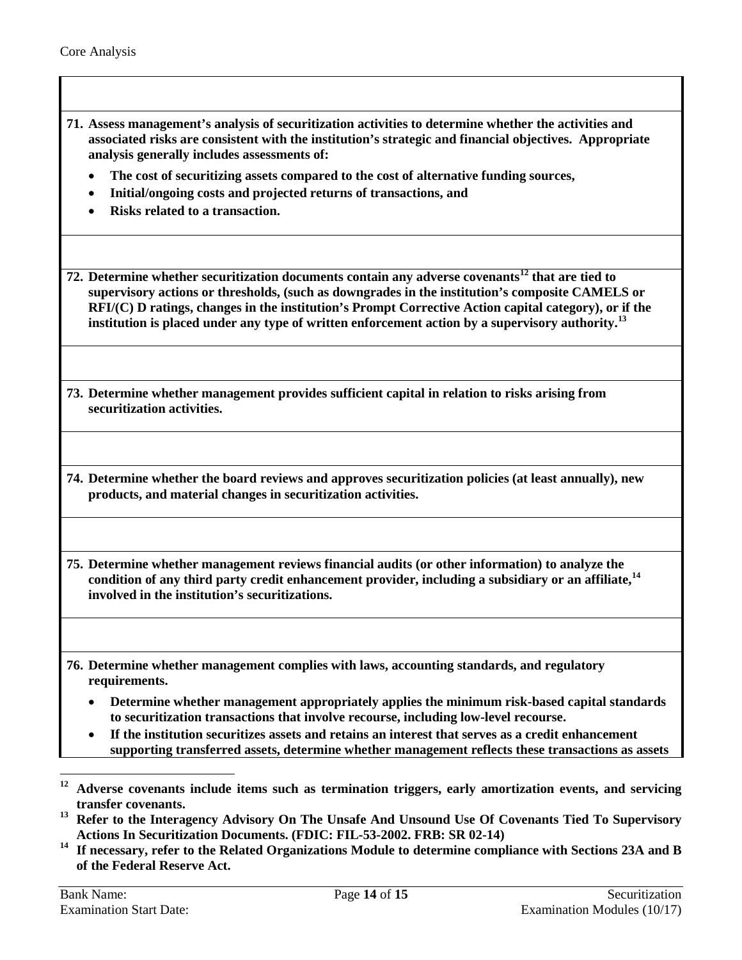- **71. Assess management's analysis of securitization activities to determine whether the activities and associated risks are consistent with the institution's strategic and financial objectives. Appropriate analysis generally includes assessments of:**
	- **The cost of securitizing assets compared to the cost of alternative funding sources,**
	- **Initial/ongoing costs and projected returns of transactions, and**
	- **Risks related to a transaction.**

**72. Determine whether securitization documents contain any adverse covenants[12](#page-13-2) that are tied to supervisory actions or thresholds, (such as downgrades in the institution's composite CAMELS or RFI/(C) D ratings, changes in the institution's Prompt Corrective Action capital category), or if the institution is placed under any type of written enforcement action by a supervisory authority.[13](#page-13-3)** 

- **73. Determine whether management provides sufficient capital in relation to risks arising from securitization activities.**
- **74. Determine whether the board reviews and approves securitization policies (at least annually), new products, and material changes in securitization activities.**

<span id="page-13-0"></span>**75. Determine whether management reviews financial audits (or other information) to analyze the condition of any third party credit enhancement provider, including a subsidiary or an affiliate,[14](#page-13-4) involved in the institution's securitizations.**

<span id="page-13-1"></span>**76. Determine whether management complies with laws, accounting standards, and regulatory requirements.**

- **Determine whether management appropriately applies the minimum risk-based capital standards to securitization transactions that involve recourse, including low-level recourse.**
- **If the institution securitizes assets and retains an interest that serves as a credit enhancement supporting transferred assets, determine whether management reflects these transactions as assets**

 $\overline{a}$ **<sup>12</sup> Adverse covenants include items such as termination triggers, early amortization events, and servicing** 

<span id="page-13-3"></span><span id="page-13-2"></span>**transfer covenants. <sup>13</sup> Refer to the Interagency Advisory On The Unsafe And Unsound Use Of Covenants Tied To Supervisory Actions In Securitization Documents. (FDIC: FIL-53-2002. FRB: SR 02-14)**

<span id="page-13-4"></span>**<sup>14</sup> If necessary, refer to the Related Organizations Module to determine compliance with Sections 23A and B of the Federal Reserve Act.**